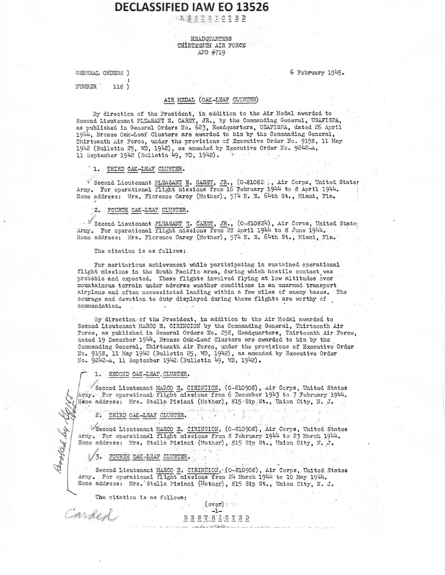## **ARESTRICTED**

#### HEADQUARTERS THIRTETNTH AIR FORCE APO #719

GENERAL ORDERS )

6 February 1945.

NUMBER.  $118)$ 

## AIR MEDAL (OAK-LEAF CLUSTER)

By direction of the President, in addition to the Air Medal awarded to Second Lieutenant PLEASANT E. CAREY, JR., by the Commanding General, USAFISPA, as published in General Orders No. 623, Headquarters, USAFISPA, dated 26 April 1944, Bronze Oak-Leaf Clusters are awarded to him by the Command Thirteenth Air Force, under the provisions of Executive Order No. 9158, 11 May 1942 (Bulletin 25, WD, 1942), as amended by Executive Order No. 9242-A, 11 September 1942 (Bulletin 49, WD, 1942).

1. THIRD OAK-LEAF CLUSTER.

\* Second Lieutenant PLEASANT E. CAREY, JR., (0-81082), Air Corps, United States Army. For operational flight missions from 16 February 1944 to 8 April 1944. Home address: Mrs. Florence Carey (Mother), 574 N. E. 64th St., Miami, Fla.

'2. FOURTH OAK-LEAF CLUSTER.

Second Lieutenant PLEASANT T. CARTY, JR., (0-310824), Air Corps, United State; Army. For operational flight missions from 28 April 1944 to 8 June 1944. Home address: Mrs. Florence Carey (Mother), 574 N. E. 64th St., Miami, Fla.

The citation is as follows:

For meritorious achievement while participating in sustained operational flight missions in the South Pacific area, during which hostile contact was probable and expected. These flights involved flying at low altitudes over mountainous terrain under adverse weather conditions in an unarmed transport airplane and often necessitated landing within a few miles of enemy bases. The courage and devotion to duty displayed during these flights are worthy of commendation.

By direction of the President, in addition to the Air Medal awarded to Second Lieutenant MARCO E. CIRINCION by the Commanding General, Thirteenth Air Force, as published in General Orders No. 258, Headquarters, Thirteenth Air Force, dated 19 December 1944. Bronze Oak-Leaf Clusters are awarded to him by the Commanding General, Thirteenth Air Force, under the provisions of Executive Order No. 9158, 11 May 1942 (Bulletin 25, WD, 1942), as amended by Executive Order No. 9242-A, 11 September 1942 (Bulletin 49, WD, 1942).

#### 1. SECOND OAK-LEAF. CLUSTER.

Second Lieutenant MARCO E. CIRINCION, (0-S10908), Air Corps, United States (17my. Tor operational flight missions from 6 December 1943 to 7 February 1944. Home address: Mrs. Stella Pisiani (Mother), 815 Sip St., Union City, N. J.

2. THIRD OAK-LEAF CLUSTER.

VSecond Lieutenant MARCO E. CIRINCION, (0-S10908), Air Corps, United States Army. For operational flight missions from 8 February 1944 to 23 March 1944. Home address: Mrs. Stella Pisiani (Mother), 815 Sip St., Union City, N. J.

3. FOURTH OAK-LEAF CLUSTER.

Resolted by the

Corded

Second Lieutenant MARCO E. CIRINCION, (O-S10908), Air Corps, United States Army. For operational flight missions from 24 March 1944 to 10 May 1944. Home address: Mrs. Stella Pisiani (Mother), 815 Sip St., Union City, N. J.

The citation is as follows: